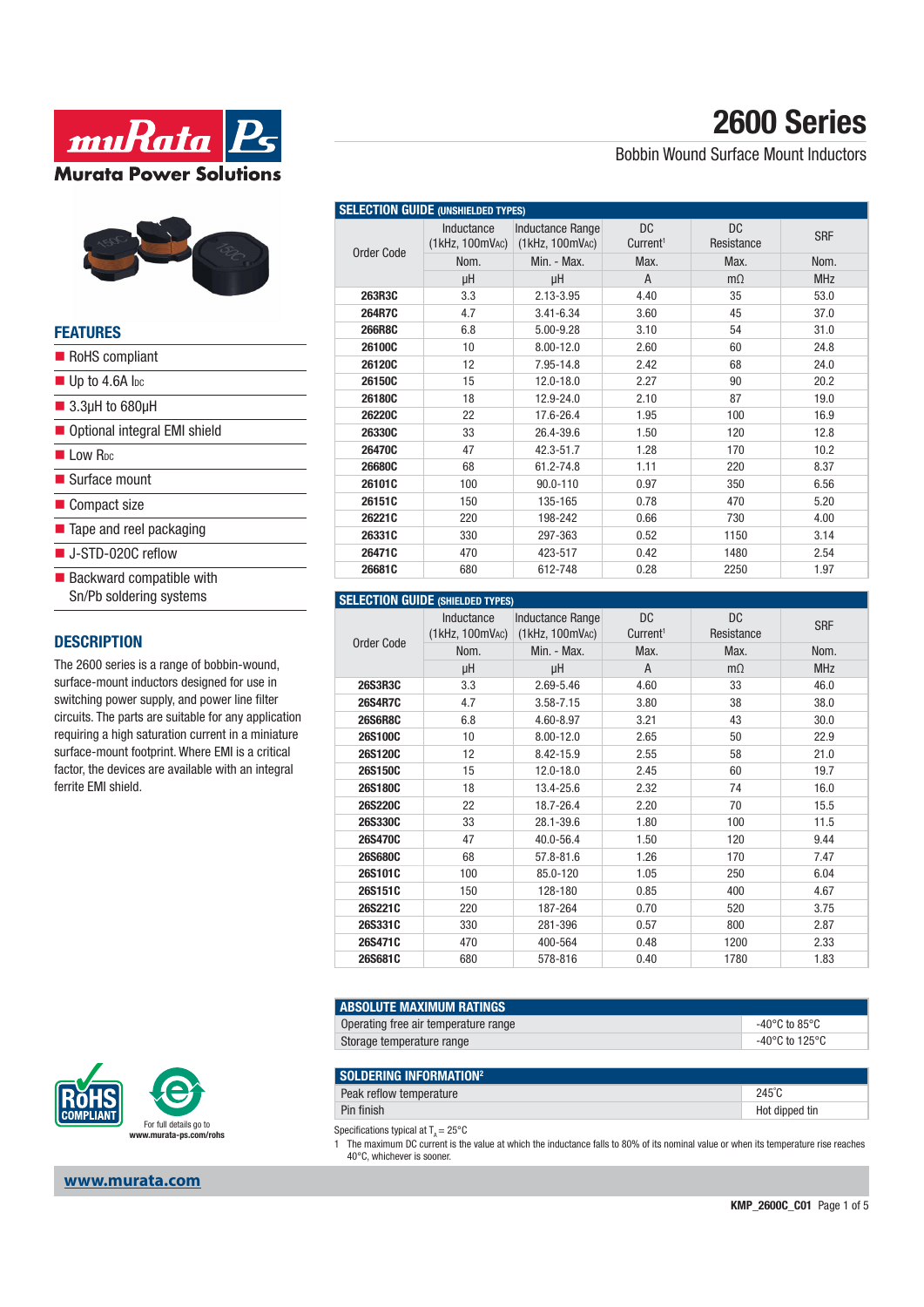



| <b>FEATURES</b>                                                    |  |
|--------------------------------------------------------------------|--|
| RoHS compliant                                                     |  |
| $\blacksquare$ Up to 4.6A lpc                                      |  |
| $\blacksquare$ 3.3µH to 680µH                                      |  |
| ■ Optional integral EMI shield                                     |  |
| Low R <sub>pc</sub>                                                |  |
| $\blacksquare$ Surface mount                                       |  |
| ■ Compact size                                                     |  |
| $\blacksquare$ Tape and reel packaging                             |  |
| ■ J-STD-020C reflow                                                |  |
| $\blacksquare$ Backward compatible with<br>Sn/Pb soldering systems |  |

#### **DESCRIPTION**

The 2600 series is a range of bobbin-wound, surface-mount inductors designed for use in switching power supply, and power line filter circuits. The parts are suitable for any application requiring a high saturation current in a miniature surface-mount footprint. Where EMI is a critical factor, the devices are available with an integral ferrite EMI shield.





#### **www.murata.com**

## **2600 Series**

Bobbin Wound Surface Mount Inductors

| <b>SELECTION GUIDE (UNSHIELDED TYPES)</b> |                                         |                                                      |                                   |                   |            |
|-------------------------------------------|-----------------------------------------|------------------------------------------------------|-----------------------------------|-------------------|------------|
| Order Code                                | Inductance<br>$(1$ kHz, $100$ mV $AC$ ) | <b>Inductance Range</b><br>$(1$ kHz, $100$ mV $AC$ ) | <b>DC</b><br>Current <sup>1</sup> | DC.<br>Resistance | <b>SRF</b> |
|                                           | Nom.                                    | Min. - Max.                                          | Max.                              | Max.              | Nom.       |
|                                           | μH                                      | μH                                                   | A                                 | $m\Omega$         | <b>MHz</b> |
| 263R3C                                    | 3.3                                     | 2.13-3.95                                            | 4.40                              | 35                | 53.0       |
| 264R7C                                    | 4.7                                     | $3.41 - 6.34$                                        | 3.60                              | 45                | 37.0       |
| <b>266R8C</b>                             | 6.8                                     | 5.00-9.28                                            | 3.10                              | 54                | 31.0       |
| 26100C                                    | 10                                      | $8.00 - 12.0$                                        | 2.60                              | 60                | 24.8       |
| 26120C                                    | 12                                      | 7.95-14.8                                            | 2.42                              | 68                | 24.0       |
| 26150C                                    | 15                                      | 12.0-18.0                                            | 2.27                              | 90                | 20.2       |
| 26180C                                    | 18                                      | 12.9-24.0                                            | 2.10                              | 87                | 19.0       |
| 26220C                                    | 22                                      | 17.6-26.4                                            | 1.95                              | 100               | 16.9       |
| 26330C                                    | 33                                      | 26.4-39.6                                            | 1.50                              | 120               | 12.8       |
| 26470C                                    | 47                                      | 42.3-51.7                                            | 1.28                              | 170               | 10.2       |
| 26680C                                    | 68                                      | 61.2-74.8                                            | 1.11                              | 220               | 8.37       |
| 26101C                                    | 100                                     | 90.0-110                                             | 0.97                              | 350               | 6.56       |
| 26151C                                    | 150                                     | 135-165                                              | 0.78                              | 470               | 5.20       |
| 26221C                                    | 220                                     | 198-242                                              | 0.66                              | 730               | 4.00       |
| 26331C                                    | 330                                     | 297-363                                              | 0.52                              | 1150              | 3.14       |
| 26471C                                    | 470                                     | 423-517                                              | 0.42                              | 1480              | 2.54       |
| 26681C                                    | 680                                     | 612-748                                              | 0.28                              | 2250              | 1.97       |

#### **SELECTION GUIDE (SHIELDED TYPES)**

| Order Code     | Inductance<br>$(1$ kHz, $100$ mV <sub>AC</sub> ) | <b>Inductance Range</b><br>$(1$ kHz, $100$ mV $AC$ ) | <b>DC</b><br>Current <sup>1</sup> | <b>DC</b><br>Resistance | <b>SRF</b> |
|----------------|--------------------------------------------------|------------------------------------------------------|-----------------------------------|-------------------------|------------|
|                | Nom.                                             | Min. - Max.                                          | Max.                              | Max.                    | Nom.       |
|                | μH                                               | μH                                                   | A                                 | $m\Omega$               | <b>MHz</b> |
| 26S3R3C        | 3.3                                              | 2.69-5.46                                            | 4.60                              | 33                      | 46.0       |
| <b>26S4R7C</b> | 4.7                                              | $3.58 - 7.15$                                        | 3.80                              | 38                      | 38.0       |
| <b>26S6R8C</b> | 6.8                                              | 4.60-8.97                                            | 3.21                              | 43                      | 30.0       |
| 26S100C        | 10                                               | $8.00 - 12.0$                                        | 2.65                              | 50                      | 22.9       |
| 26S120C        | 12                                               | 8.42-15.9                                            | 2.55                              | 58                      | 21.0       |
| 26S150C        | 15                                               | 12.0-18.0                                            | 2.45                              | 60                      | 19.7       |
| 26S180C        | 18                                               | 13.4-25.6                                            | 2.32                              | 74                      | 16.0       |
| 26S220C        | 22                                               | 18.7-26.4                                            | 2.20                              | 70                      | 15.5       |
| 26S330C        | 33                                               | 28.1-39.6                                            | 1.80                              | 100                     | 11.5       |
| 26S470C        | 47                                               | 40.0-56.4                                            | 1.50                              | 120                     | 9.44       |
| 26S680C        | 68                                               | 57.8-81.6                                            | 1.26                              | 170                     | 7.47       |
| 26S101C        | 100                                              | 85.0-120                                             | 1.05                              | 250                     | 6.04       |
| 26S151C        | 150                                              | 128-180                                              | 0.85                              | 400                     | 4.67       |
| 26S221C        | 220                                              | 187-264                                              | 0.70                              | 520                     | 3.75       |
| 26S331C        | 330                                              | 281-396                                              | 0.57                              | 800                     | 2.87       |
| 26S471C        | 470                                              | 400-564                                              | 0.48                              | 1200                    | 2.33       |
| 26S681C        | 680                                              | 578-816                                              | 0.40                              | 1780                    | 1.83       |

| I ABSOLUTE MAXIMUM RATINGS           |                |
|--------------------------------------|----------------|
| Operating free air temperature range | -40°C to 85°C  |
| Storage temperature range            | -40°C to 125°C |

| SOLDERING INFORMATION <sup>2</sup> |                 |
|------------------------------------|-----------------|
| Peak reflow temperature            | $245^{\circ}$ C |
| Pin finish                         | Hot dipped tin  |

Specifications typical at  $T_A = 25^{\circ}$ C

1 The maximum DC current is the value at which the inductance falls to 80% of its nominal value or when its temperature rise reaches 40°C, whichever is sooner.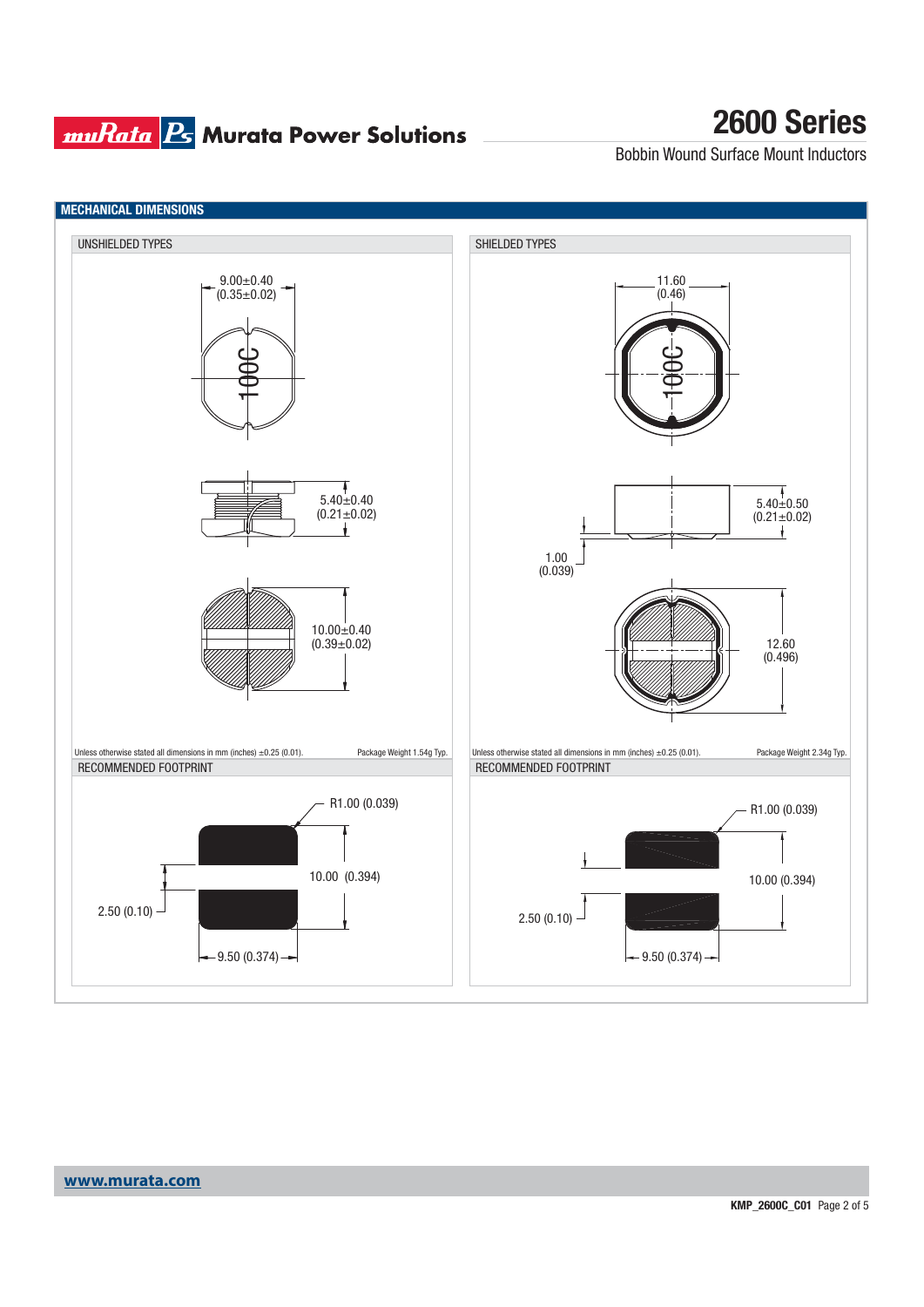#### **muRata B** Murata Power Solutions

## **2600 Series**

Bobbin Wound Surface Mount Inductors

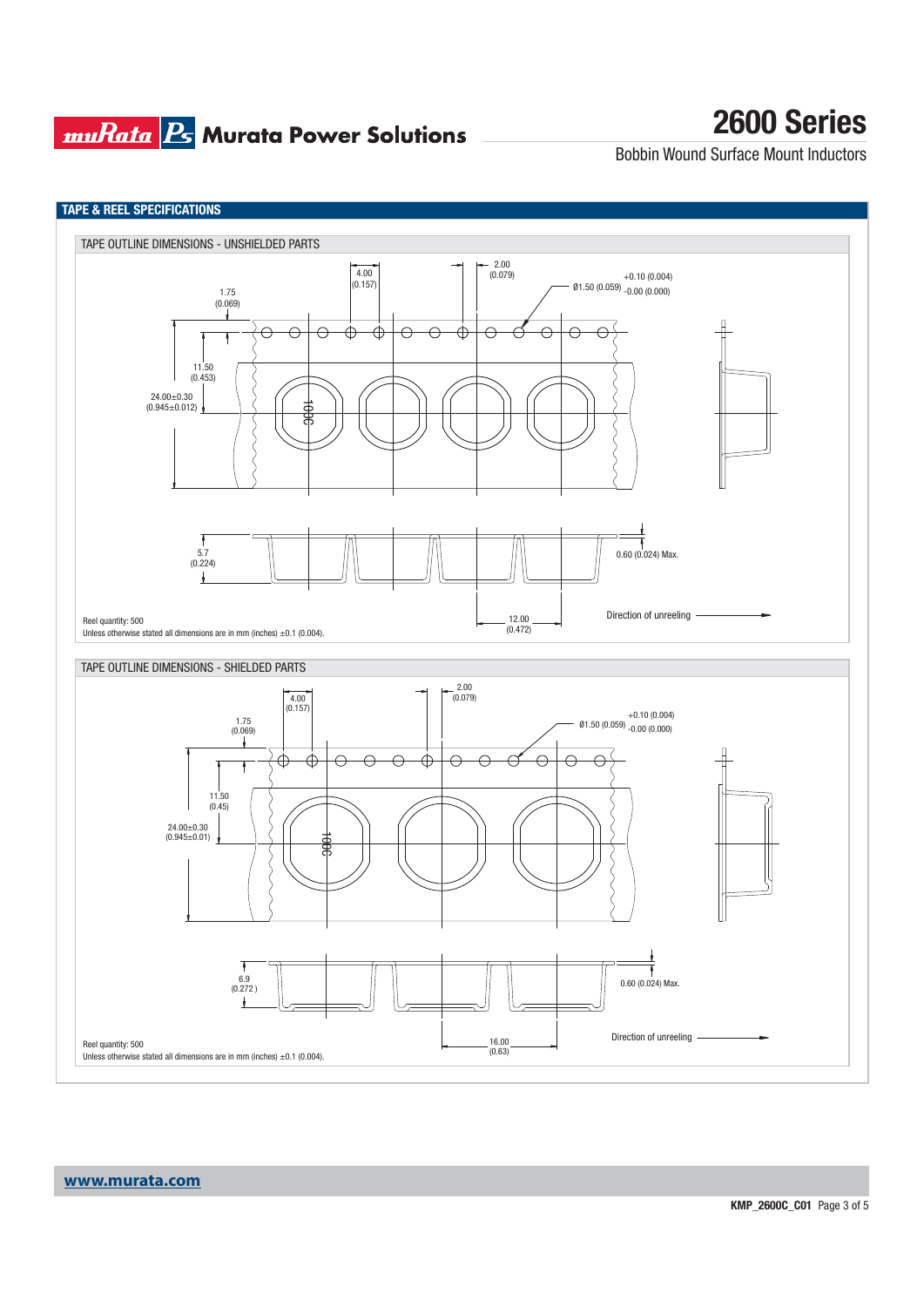### **muRata Ps** Murata Power Solutions

## **2600 Series**

Bobbin Wound Surface Mount Inductors

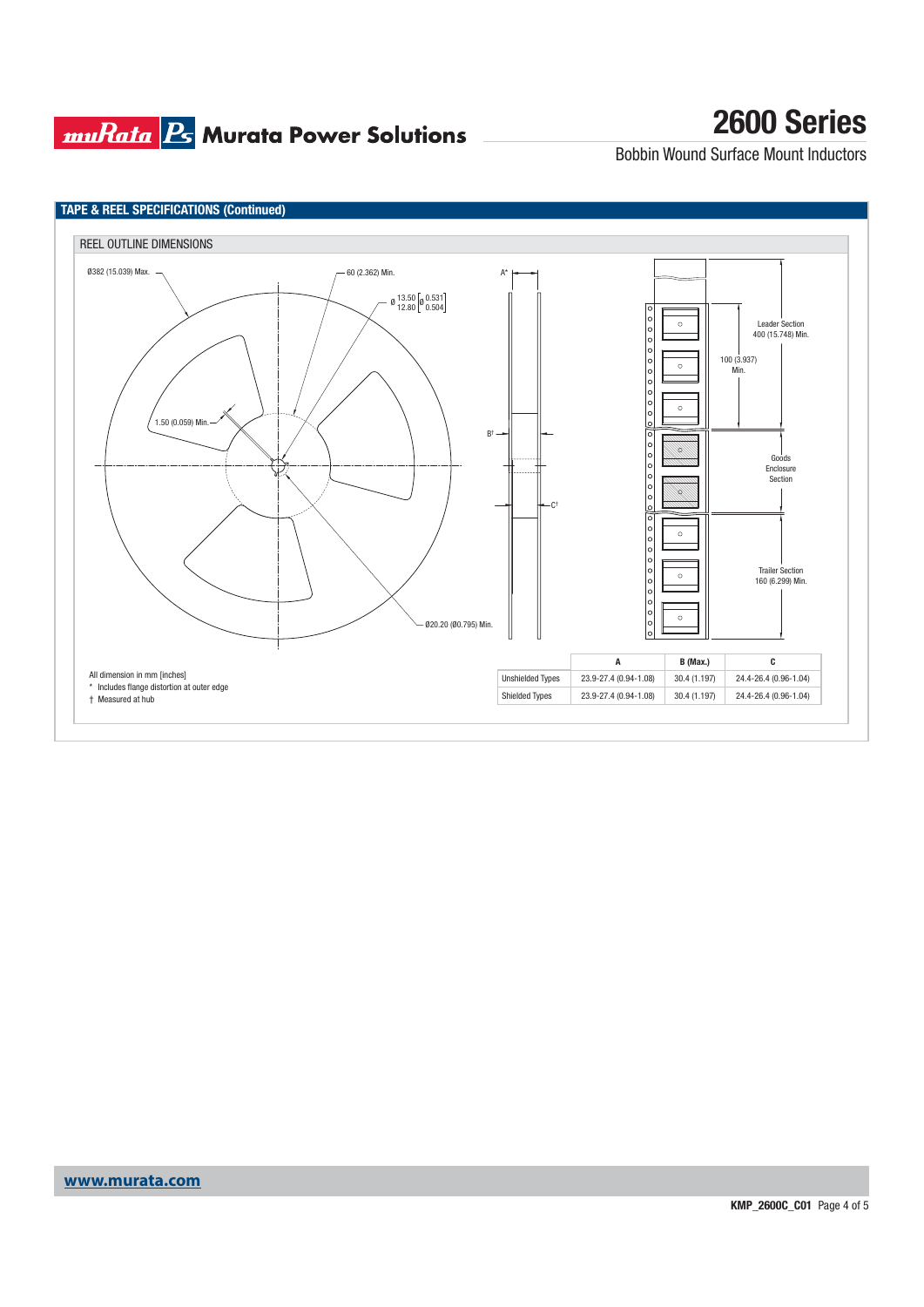### **muRata B** Murata Power Solutions

# **2600 Series**

Bobbin Wound Surface Mount Inductors

![](_page_3_Figure_3.jpeg)